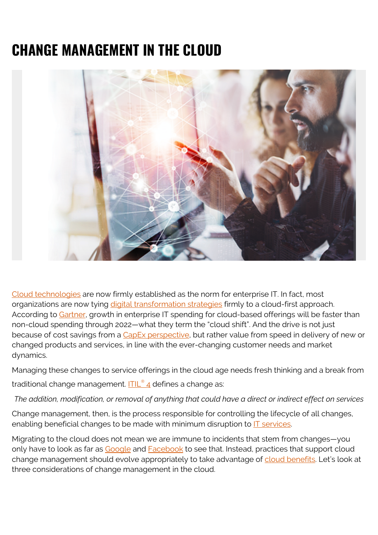# **CHANGE MANAGEMENT IN THE CLOUD**



[Cloud technologies](https://blogs.bmc.com/blogs/saas-vs-paas-vs-iaas-whats-the-difference-and-how-to-choose/) are now firmly established as the norm for enterprise IT. In fact, most organizations are now tying [digital transformation strategies](https://blogs.bmc.com/blogs/digital-transformation-success/) firmly to a cloud-first approach. According to [Gartner,](https://www.gartner.com/smarterwithgartner/cloud-shift-impacts-all-it-markets) growth in enterprise IT spending for cloud-based offerings will be faster than non-cloud spending through 2022—what they term the "cloud shift". And the drive is not just because of cost savings from a [CapEx perspective](https://blogs.bmc.com/blogs/capex-vs-opex/), but rather value from speed in delivery of new or changed products and services, in line with the ever-changing customer needs and market dynamics.

Managing these changes to service offerings in the cloud age needs fresh thinking and a break from

traditional change management. <mark>[ITIL](https://blogs.bmc.com/blogs/itil-change-enablement/)[®](https://blogs.bmc.com/blogs/itil-change-enablement/) [4](https://blogs.bmc.com/blogs/itil-change-enablement/)</mark> defines a change as:

*The addition, modification, or removal of anything that could have a direct or indirect effect on services*

Change management, then, is the process responsible for controlling the lifecycle of all changes, enabling beneficial changes to be made with minimum disruption to **IT** services.

Migrating to the cloud does not mean we are immune to incidents that stem from changes—you only have to look as far as [Google](https://status.cloud.google.com/incident/cloud-networking/19009) and [Facebook](https://twitter.com/Facebook/status/1106229690069442560) to see that. Instead, practices that support cloud change management should evolve appropriately to take advantage of [cloud benefits.](https://blogs.bmc.com/blogs/advantages-benefits-cloud-computing/) Let's look at three considerations of change management in the cloud.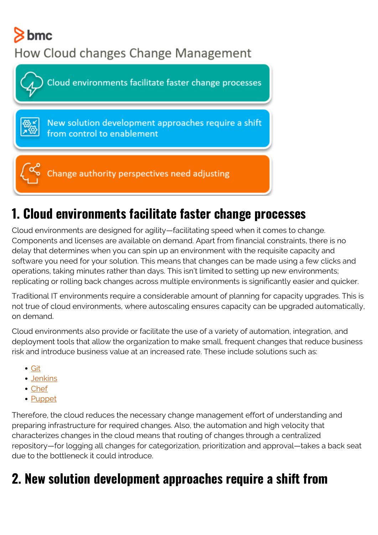# $8$  bmc

#### How Cloud changes Change Management



### **1. Cloud environments facilitate faster change processes**

Cloud environments are designed for agility—facilitating speed when it comes to change. Components and licenses are available on demand. Apart from financial constraints, there is no delay that determines when you can spin up an environment with the requisite capacity and software you need for your solution. This means that changes can be made using a few clicks and operations, taking minutes rather than days. This isn't limited to setting up new environments; replicating or rolling back changes across multiple environments is significantly easier and quicker.

Traditional IT environments require a considerable amount of planning for capacity upgrades. This is not true of cloud environments, where autoscaling ensures capacity can be upgraded automatically, on demand.

Cloud environments also provide or facilitate the use of a variety of automation, integration, and deployment tools that allow the organization to make small, frequent changes that reduce business risk and introduce business value at an increased rate. These include solutions such as:

- [Git](https://git-scm.com/)
- [Jenkins](https://www.jenkins.io/)
- [Chef](https://www.chef.io/)
- [Puppet](https://puppet.com/)

Therefore, the cloud reduces the necessary change management effort of understanding and preparing infrastructure for required changes. Also, the automation and high velocity that characterizes changes in the cloud means that routing of changes through a centralized repository—for logging all changes for categorization, prioritization and approval—takes a back seat due to the bottleneck it could introduce.

#### **2. New solution development approaches require a shift from**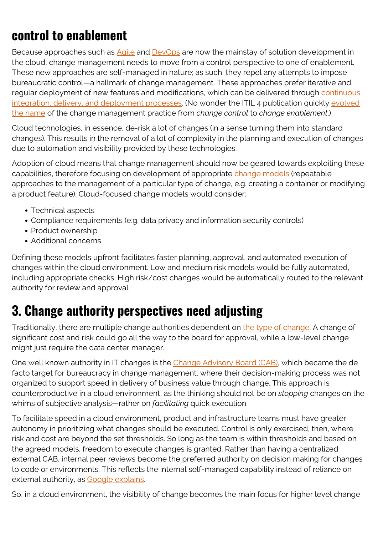#### **control to enablement**

Because approaches such as [Agile](https://blogs.bmc.com/blogs/agile-scrum-getting-started/) and [DevOps](https://blogs.bmc.com/blogs/devops-basics-introduction/) are now the mainstay of solution development in the cloud, change management needs to move from a control perspective to one of enablement. These new approaches are self-managed in nature; as such, they repel any attempts to impose bureaucratic control—a hallmark of change management. These approaches prefer iterative and regular deployment of new features and modifications, which can be delivered through [continuous](https://blogs.bmc.com/blogs/devops-continuous-integration-delivery-deployment/) [integration, delivery, and deployment processes](https://blogs.bmc.com/blogs/devops-continuous-integration-delivery-deployment/). (No wonder the ITIL 4 publication quickly [evolved](https://www.beyond20.com/blog/understanding-change-enablement-practice-itil-4/) [the name](https://www.beyond20.com/blog/understanding-change-enablement-practice-itil-4/) of the change management practice from *change control* to *change enablement*.)

Cloud technologies, in essence, de-risk a lot of changes (in a sense turning them into standard changes). This results in the removal of a lot of complexity in the planning and execution of changes due to automation and visibility provided by these technologies.

Adoption of cloud means that change management should now be geared towards exploiting these capabilities, therefore focusing on development of appropriate [change models](https://www.axelos.com/case-studies-and-white-papers/itil-4-and-the-cloud) (repeatable approaches to the management of a particular type of change, e.g. creating a container or modifying a product feature). Cloud-focused change models would consider:

- Technical aspects
- Compliance requirements (e.g. data privacy and information security controls)
- Product ownership
- Additional concerns

Defining these models upfront facilitates faster planning, approval, and automated execution of changes within the cloud environment. Low and medium risk models would be fully automated, including appropriate checks. High risk/cost changes would be automatically routed to the relevant authority for review and approval.

#### **3. Change authority perspectives need adjusting**

Traditionally, there are multiple change authorities dependent on [the type of change.](https://blogs.bmc.com/blogs/changes-types-standard-vs-normal-vs-emergency-change/) A change of significant cost and risk could go all the way to the board for approval, while a low-level change might just require the data center manager.

One well known authority in IT changes is the [Change Advisory Board \(CAB\),](https://blogs.bmc.com/blogs/change-control-board-vs-change-advisory-board/) which became the de facto target for bureaucracy in change management, where their decision-making process was not organized to support speed in delivery of business value through change. This approach is counterproductive in a cloud environment, as the thinking should not be on *stopping* changes on the whims of subjective analysis—rather on *facilitating* quick execution.

To facilitate speed in a cloud environment, product and infrastructure teams must have greater autonomy in prioritizing what changes should be executed. Control is only exercised, then, where risk and cost are beyond the set thresholds. So long as the team is within thresholds and based on the agreed models, freedom to execute changes is granted. Rather than having a centralized external CAB, internal peer reviews become the preferred authority on decision making for changes to code or environments. This reflects the internal self-managed capability instead of reliance on external authority, as [Google explains.](https://cloud.google.com/solutions/devops/devops-process-streamlining-change-approval)

So, in a cloud environment, the visibility of change becomes the main focus for higher level change